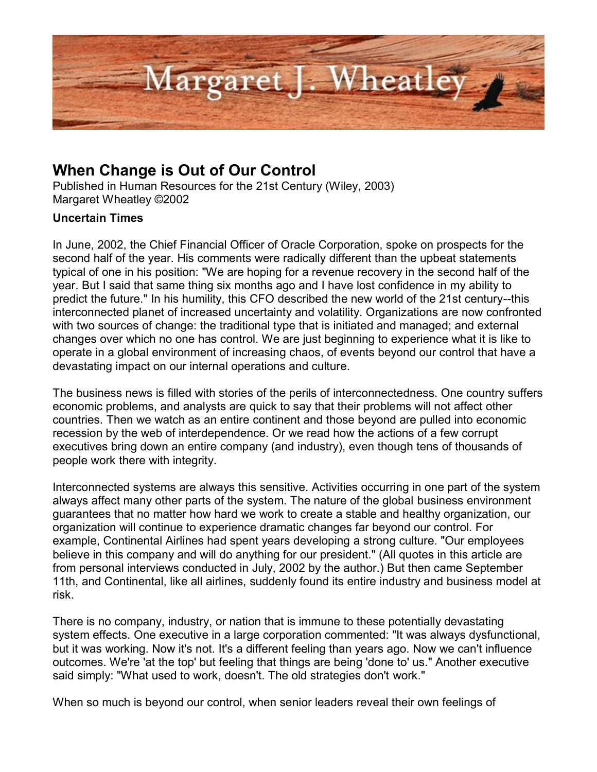

# **When Change is Out of Our Control**

Published in Human Resources for the 21st Century (Wiley, 2003) Margaret Wheatley ©2002

## **Uncertain Times**

In June, 2002, the Chief Financial Officer of Oracle Corporation, spoke on prospects for the second half of the year. His comments were radically different than the upbeat statements typical of one in his position: "We are hoping for a revenue recovery in the second half of the year. But I said that same thing six months ago and I have lost confidence in my ability to predict the future." In his humility, this CFO described the new world of the 21st century--this interconnected planet of increased uncertainty and volatility. Organizations are now confronted with two sources of change: the traditional type that is initiated and managed; and external changes over which no one has control. We are just beginning to experience what it is like to operate in a global environment of increasing chaos, of events beyond our control that have a devastating impact on our internal operations and culture.

The business news is filled with stories of the perils of interconnectedness. One country suffers economic problems, and analysts are quick to say that their problems will not affect other countries. Then we watch as an entire continent and those beyond are pulled into economic recession by the web of interdependence. Or we read how the actions of a few corrupt executives bring down an entire company (and industry), even though tens of thousands of people work there with integrity.

Interconnected systems are always this sensitive. Activities occurring in one part of the system always affect many other parts of the system. The nature of the global business environment guarantees that no matter how hard we work to create a stable and healthy organization, our organization will continue to experience dramatic changes far beyond our control. For example, Continental Airlines had spent years developing a strong culture. "Our employees believe in this company and will do anything for our president." (All quotes in this article are from personal interviews conducted in July, 2002 by the author.) But then came September 11th, and Continental, like all airlines, suddenly found its entire industry and business model at risk.

There is no company, industry, or nation that is immune to these potentially devastating system effects. One executive in a large corporation commented: "It was always dysfunctional, but it was working. Now it's not. It's a different feeling than years ago. Now we can't influence outcomes. We're 'at the top' but feeling that things are being 'done to' us." Another executive said simply: "What used to work, doesn't. The old strategies don't work."

When so much is beyond our control, when senior leaders reveal their own feelings of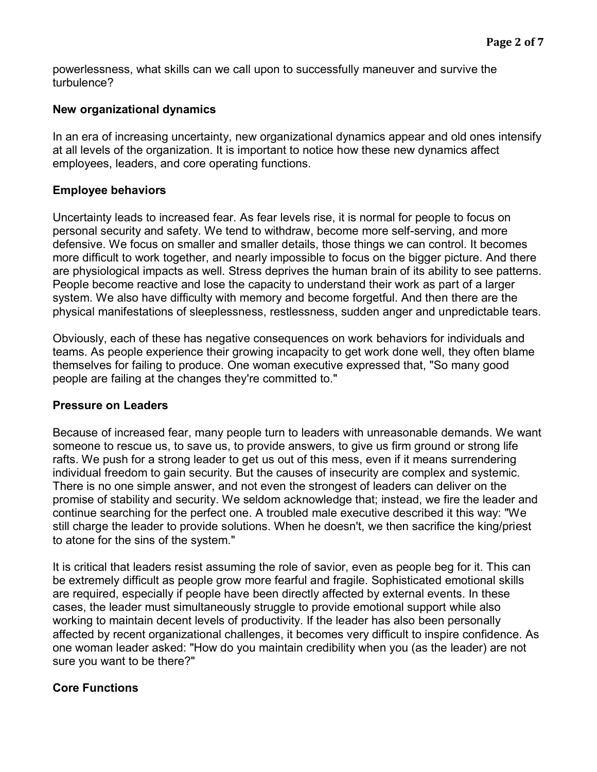powerlessness, what skills can we call upon to successfully maneuver and survive the turbulence?

## **New organizational dynamics**

In an era of increasing uncertainty, new organizational dynamics appear and old ones intensify at all levels of the organization. It is important to notice how these new dynamics affect employees, leaders, and core operating functions.

## **Employee behaviors**

Uncertainty leads to increased fear. As fear levels rise, it is normal for people to focus on personal security and safety. We tend to withdraw, become more self-serving, and more defensive. We focus on smaller and smaller details, those things we can control. It becomes more difficult to work together, and nearly impossible to focus on the bigger picture. And there are physiological impacts as well. Stress deprives the human brain of its ability to see patterns. People become reactive and lose the capacity to understand their work as part of a larger system. We also have difficulty with memory and become forgetful. And then there are the physical manifestations of sleeplessness, restlessness, sudden anger and unpredictable tears.

Obviously, each of these has negative consequences on work behaviors for individuals and teams. As people experience their growing incapacity to get work done well, they often blame themselves for failing to produce. One woman executive expressed that, "So many good people are failing at the changes they're committed to."

## **Pressure on Leaders**

Because of increased fear, many people turn to leaders with unreasonable demands. We want someone to rescue us, to save us, to provide answers, to give us firm ground or strong life rafts. We push for a strong leader to get us out of this mess, even if it means surrendering individual freedom to gain security. But the causes of insecurity are complex and systemic. There is no one simple answer, and not even the strongest of leaders can deliver on the promise of stability and security. We seldom acknowledge that; instead, we fire the leader and continue searching for the perfect one. A troubled male executive described it this way: "We still charge the leader to provide solutions. When he doesn't, we then sacrifice the king/priest to atone for the sins of the system."

It is critical that leaders resist assuming the role of savior, even as people beg for it. This can be extremely difficult as people grow more fearful and fragile. Sophisticated emotional skills are required, especially if people have been directly affected by external events. In these cases, the leader must simultaneously struggle to provide emotional support while also working to maintain decent levels of productivity. If the leader has also been personally affected by recent organizational challenges, it becomes very difficult to inspire confidence. As one woman leader asked: "How do you maintain credibility when you (as the leader) are not sure you want to be there?"

## **Core Functions**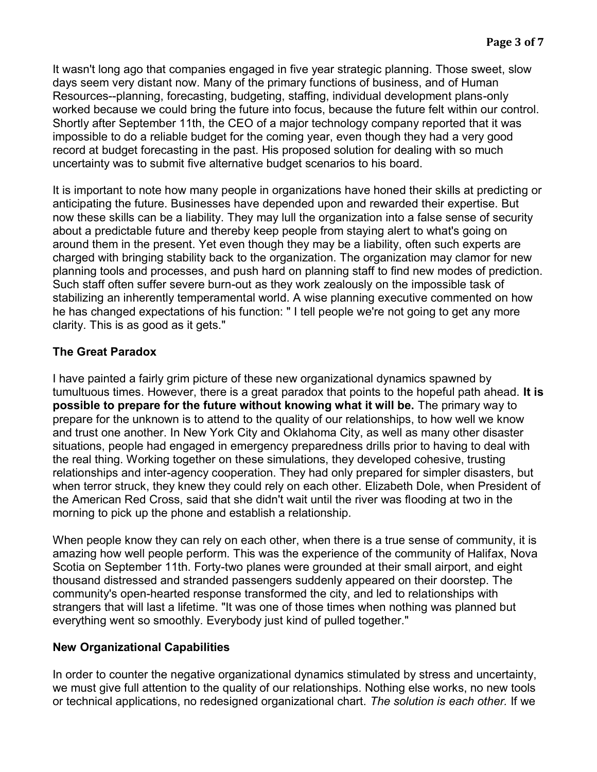It wasn't long ago that companies engaged in five year strategic planning. Those sweet, slow days seem very distant now. Many of the primary functions of business, and of Human Resources--planning, forecasting, budgeting, staffing, individual development plans-only worked because we could bring the future into focus, because the future felt within our control. Shortly after September 11th, the CEO of a major technology company reported that it was impossible to do a reliable budget for the coming year, even though they had a very good record at budget forecasting in the past. His proposed solution for dealing with so much uncertainty was to submit five alternative budget scenarios to his board.

It is important to note how many people in organizations have honed their skills at predicting or anticipating the future. Businesses have depended upon and rewarded their expertise. But now these skills can be a liability. They may lull the organization into a false sense of security about a predictable future and thereby keep people from staying alert to what's going on around them in the present. Yet even though they may be a liability, often such experts are charged with bringing stability back to the organization. The organization may clamor for new planning tools and processes, and push hard on planning staff to find new modes of prediction. Such staff often suffer severe burn-out as they work zealously on the impossible task of stabilizing an inherently temperamental world. A wise planning executive commented on how he has changed expectations of his function: " I tell people we're not going to get any more clarity. This is as good as it gets."

## **The Great Paradox**

I have painted a fairly grim picture of these new organizational dynamics spawned by tumultuous times. However, there is a great paradox that points to the hopeful path ahead. **It is possible to prepare for the future without knowing what it will be.** The primary way to prepare for the unknown is to attend to the quality of our relationships, to how well we know and trust one another. In New York City and Oklahoma City, as well as many other disaster situations, people had engaged in emergency preparedness drills prior to having to deal with the real thing. Working together on these simulations, they developed cohesive, trusting relationships and inter-agency cooperation. They had only prepared for simpler disasters, but when terror struck, they knew they could rely on each other. Elizabeth Dole, when President of the American Red Cross, said that she didn't wait until the river was flooding at two in the morning to pick up the phone and establish a relationship.

When people know they can rely on each other, when there is a true sense of community, it is amazing how well people perform. This was the experience of the community of Halifax, Nova Scotia on September 11th. Forty-two planes were grounded at their small airport, and eight thousand distressed and stranded passengers suddenly appeared on their doorstep. The community's open-hearted response transformed the city, and led to relationships with strangers that will last a lifetime. "It was one of those times when nothing was planned but everything went so smoothly. Everybody just kind of pulled together."

## **New Organizational Capabilities**

In order to counter the negative organizational dynamics stimulated by stress and uncertainty, we must give full attention to the quality of our relationships. Nothing else works, no new tools or technical applications, no redesigned organizational chart. *The solution is each other.* If we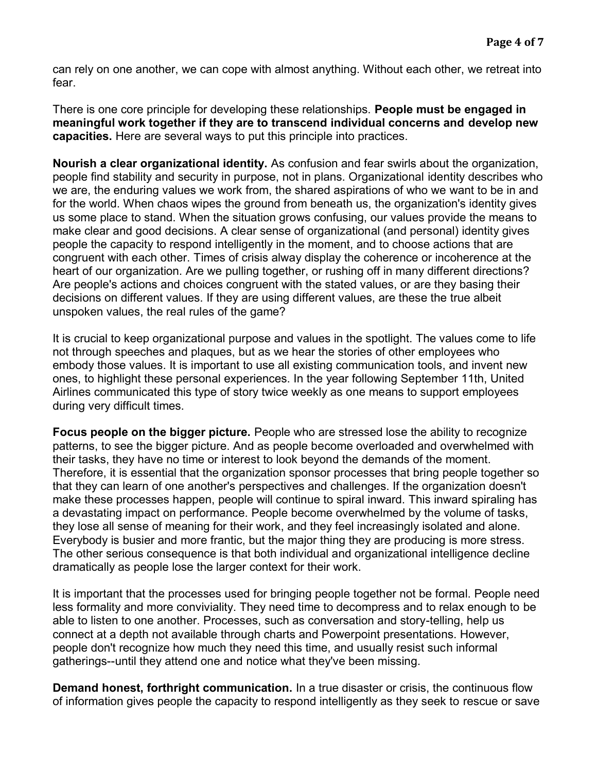can rely on one another, we can cope with almost anything. Without each other, we retreat into fear.

There is one core principle for developing these relationships. **People must be engaged in meaningful work together if they are to transcend individual concerns and develop new capacities.** Here are several ways to put this principle into practices.

**Nourish a clear organizational identity.** As confusion and fear swirls about the organization, people find stability and security in purpose, not in plans. Organizational identity describes who we are, the enduring values we work from, the shared aspirations of who we want to be in and for the world. When chaos wipes the ground from beneath us, the organization's identity gives us some place to stand. When the situation grows confusing, our values provide the means to make clear and good decisions. A clear sense of organizational (and personal) identity gives people the capacity to respond intelligently in the moment, and to choose actions that are congruent with each other. Times of crisis alway display the coherence or incoherence at the heart of our organization. Are we pulling together, or rushing off in many different directions? Are people's actions and choices congruent with the stated values, or are they basing their decisions on different values. If they are using different values, are these the true albeit unspoken values, the real rules of the game?

It is crucial to keep organizational purpose and values in the spotlight. The values come to life not through speeches and plaques, but as we hear the stories of other employees who embody those values. It is important to use all existing communication tools, and invent new ones, to highlight these personal experiences. In the year following September 11th, United Airlines communicated this type of story twice weekly as one means to support employees during very difficult times.

**Focus people on the bigger picture.** People who are stressed lose the ability to recognize patterns, to see the bigger picture. And as people become overloaded and overwhelmed with their tasks, they have no time or interest to look beyond the demands of the moment. Therefore, it is essential that the organization sponsor processes that bring people together so that they can learn of one another's perspectives and challenges. If the organization doesn't make these processes happen, people will continue to spiral inward. This inward spiraling has a devastating impact on performance. People become overwhelmed by the volume of tasks, they lose all sense of meaning for their work, and they feel increasingly isolated and alone. Everybody is busier and more frantic, but the major thing they are producing is more stress. The other serious consequence is that both individual and organizational intelligence decline dramatically as people lose the larger context for their work.

It is important that the processes used for bringing people together not be formal. People need less formality and more conviviality. They need time to decompress and to relax enough to be able to listen to one another. Processes, such as conversation and story-telling, help us connect at a depth not available through charts and Powerpoint presentations. However, people don't recognize how much they need this time, and usually resist such informal gatherings--until they attend one and notice what they've been missing.

**Demand honest, forthright communication.** In a true disaster or crisis, the continuous flow of information gives people the capacity to respond intelligently as they seek to rescue or save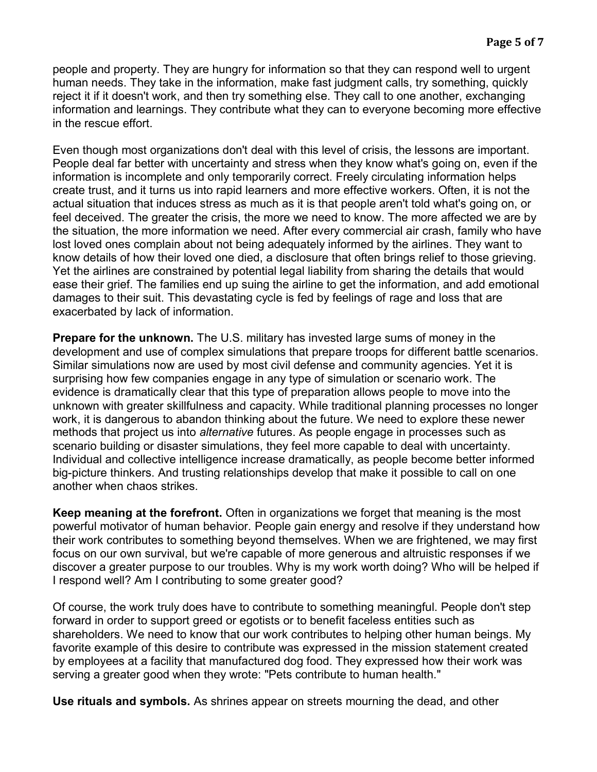people and property. They are hungry for information so that they can respond well to urgent human needs. They take in the information, make fast judgment calls, try something, quickly reject it if it doesn't work, and then try something else. They call to one another, exchanging information and learnings. They contribute what they can to everyone becoming more effective in the rescue effort.

Even though most organizations don't deal with this level of crisis, the lessons are important. People deal far better with uncertainty and stress when they know what's going on, even if the information is incomplete and only temporarily correct. Freely circulating information helps create trust, and it turns us into rapid learners and more effective workers. Often, it is not the actual situation that induces stress as much as it is that people aren't told what's going on, or feel deceived. The greater the crisis, the more we need to know. The more affected we are by the situation, the more information we need. After every commercial air crash, family who have lost loved ones complain about not being adequately informed by the airlines. They want to know details of how their loved one died, a disclosure that often brings relief to those grieving. Yet the airlines are constrained by potential legal liability from sharing the details that would ease their grief. The families end up suing the airline to get the information, and add emotional damages to their suit. This devastating cycle is fed by feelings of rage and loss that are exacerbated by lack of information.

**Prepare for the unknown.** The U.S. military has invested large sums of money in the development and use of complex simulations that prepare troops for different battle scenarios. Similar simulations now are used by most civil defense and community agencies. Yet it is surprising how few companies engage in any type of simulation or scenario work. The evidence is dramatically clear that this type of preparation allows people to move into the unknown with greater skillfulness and capacity. While traditional planning processes no longer work, it is dangerous to abandon thinking about the future. We need to explore these newer methods that project us into *alternative* futures. As people engage in processes such as scenario building or disaster simulations, they feel more capable to deal with uncertainty. Individual and collective intelligence increase dramatically, as people become better informed big-picture thinkers. And trusting relationships develop that make it possible to call on one another when chaos strikes.

**Keep meaning at the forefront.** Often in organizations we forget that meaning is the most powerful motivator of human behavior. People gain energy and resolve if they understand how their work contributes to something beyond themselves. When we are frightened, we may first focus on our own survival, but we're capable of more generous and altruistic responses if we discover a greater purpose to our troubles. Why is my work worth doing? Who will be helped if I respond well? Am I contributing to some greater good?

Of course, the work truly does have to contribute to something meaningful. People don't step forward in order to support greed or egotists or to benefit faceless entities such as shareholders. We need to know that our work contributes to helping other human beings. My favorite example of this desire to contribute was expressed in the mission statement created by employees at a facility that manufactured dog food. They expressed how their work was serving a greater good when they wrote: "Pets contribute to human health."

**Use rituals and symbols.** As shrines appear on streets mourning the dead, and other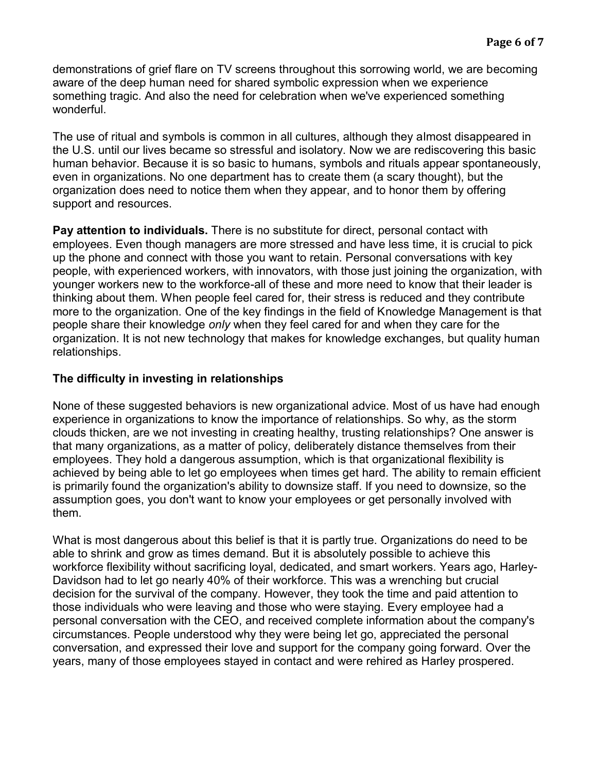demonstrations of grief flare on TV screens throughout this sorrowing world, we are becoming aware of the deep human need for shared symbolic expression when we experience something tragic. And also the need for celebration when we've experienced something wonderful.

The use of ritual and symbols is common in all cultures, although they almost disappeared in the U.S. until our lives became so stressful and isolatory. Now we are rediscovering this basic human behavior. Because it is so basic to humans, symbols and rituals appear spontaneously, even in organizations. No one department has to create them (a scary thought), but the organization does need to notice them when they appear, and to honor them by offering support and resources.

**Pay attention to individuals.** There is no substitute for direct, personal contact with employees. Even though managers are more stressed and have less time, it is crucial to pick up the phone and connect with those you want to retain. Personal conversations with key people, with experienced workers, with innovators, with those just joining the organization, with younger workers new to the workforce-all of these and more need to know that their leader is thinking about them. When people feel cared for, their stress is reduced and they contribute more to the organization. One of the key findings in the field of Knowledge Management is that people share their knowledge *only* when they feel cared for and when they care for the organization. It is not new technology that makes for knowledge exchanges, but quality human relationships.

## **The difficulty in investing in relationships**

None of these suggested behaviors is new organizational advice. Most of us have had enough experience in organizations to know the importance of relationships. So why, as the storm clouds thicken, are we not investing in creating healthy, trusting relationships? One answer is that many organizations, as a matter of policy, deliberately distance themselves from their employees. They hold a dangerous assumption, which is that organizational flexibility is achieved by being able to let go employees when times get hard. The ability to remain efficient is primarily found the organization's ability to downsize staff. If you need to downsize, so the assumption goes, you don't want to know your employees or get personally involved with them.

What is most dangerous about this belief is that it is partly true. Organizations do need to be able to shrink and grow as times demand. But it is absolutely possible to achieve this workforce flexibility without sacrificing loyal, dedicated, and smart workers. Years ago, Harley-Davidson had to let go nearly 40% of their workforce. This was a wrenching but crucial decision for the survival of the company. However, they took the time and paid attention to those individuals who were leaving and those who were staying. Every employee had a personal conversation with the CEO, and received complete information about the company's circumstances. People understood why they were being let go, appreciated the personal conversation, and expressed their love and support for the company going forward. Over the years, many of those employees stayed in contact and were rehired as Harley prospered.